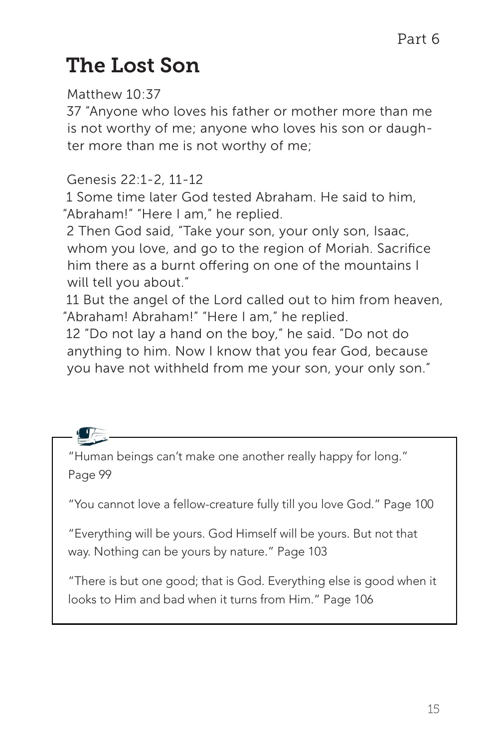# The Lost Son

Matthew 10:37

37 "Anyone who loves his father or mother more than me is not worthy of me; anyone who loves his son or daughter more than me is not worthy of me;

## Genesis 22:1-2, 11-12

1 Some time later God tested Abraham. He said to him, "Abraham!" "Here I am," he replied.

2 Then God said, "Take your son, your only son, Isaac, whom you love, and go to the region of Moriah. Sacrifice him there as a burnt offering on one of the mountains I will tell you about."

11 But the angel of the Lord called out to him from heaven, "Abraham! Abraham!" "Here I am," he replied.

12 "Do not lay a hand on the boy," he said. "Do not do anything to him. Now I know that you fear God, because you have not withheld from me your son, your only son."

"Human beings can't make one another really happy for long." Page 99

"You cannot love a fellow-creature fully till you love God." Page 100

"Everything will be yours. God Himself will be yours. But not that way. Nothing can be yours by nature." Page 103

"There is but one good; that is God. Everything else is good when it looks to Him and bad when it turns from Him." Page 106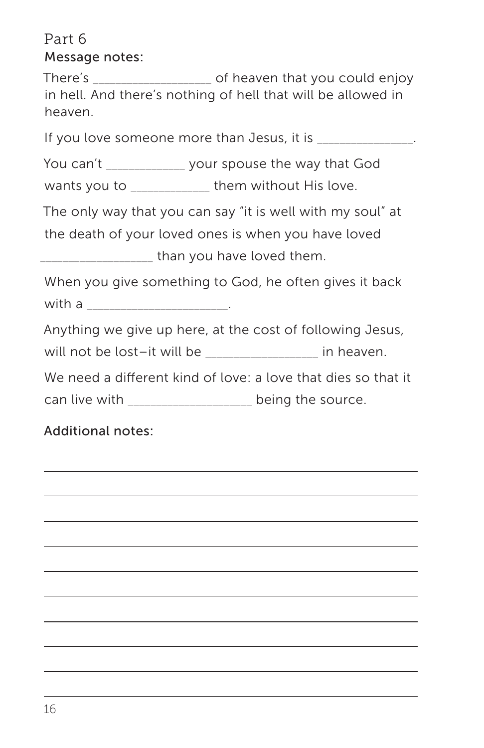# Part 6 Message notes:

There's \_\_\_\_\_\_\_\_\_\_\_\_\_\_\_\_\_\_\_\_\_ of heaven that you could enjoy in hell. And there's nothing of hell that will be allowed in heaven.

If you love someone more than Jesus, it is **Noting than** 

You can't \_\_\_\_\_\_\_\_\_\_\_\_\_\_ your spouse the way that God

wants you to \_\_\_\_\_\_\_\_\_\_\_\_\_\_ them without His love.

The only way that you can say "it is well with my soul" at

the death of your loved ones is when you have loved

than you have loved them.

When you give something to God, he often gives it back with a  $\blacksquare$ 

Anything we give up here, at the cost of following Jesus,

will not be lost–it will be \_\_\_\_\_\_\_\_\_\_\_\_\_\_\_\_\_\_\_\_ in heaven.

We need a different kind of love: a love that dies so that it can live with \_\_\_\_\_\_\_\_\_\_\_\_\_\_\_\_\_\_\_\_\_\_ being the source.

Additional notes: